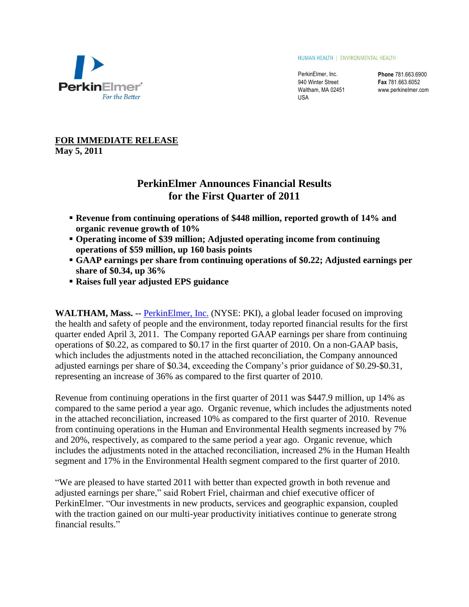

PerkinElmer, Inc. 940 Winter Street Waltham, MA 02451 USA

**Phone** 781.663.6900 **Fax** 781.663.6052 www.perkinelmer.com

## **FOR IMMEDIATE RELEASE May 5, 2011**

# **PerkinElmer Announces Financial Results for the First Quarter of 2011**

- **Revenue from continuing operations of \$448 million, reported growth of 14% and organic revenue growth of 10%**
- **Operating income of \$39 million; Adjusted operating income from continuing operations of \$59 million, up 160 basis points**
- **GAAP earnings per share from continuing operations of \$0.22; Adjusted earnings per share of \$0.34, up 36%**
- **Raises full year adjusted EPS guidance**

**WALTHAM, Mass. --** [PerkinElmer, Inc.](http://www.perkinelmer.com/) (NYSE: PKI), a global leader focused on improving the health and safety of people and the environment, today reported financial results for the first quarter ended April 3, 2011. The Company reported GAAP earnings per share from continuing operations of \$0.22, as compared to \$0.17 in the first quarter of 2010. On a non-GAAP basis, which includes the adjustments noted in the attached reconciliation, the Company announced adjusted earnings per share of \$0.34, exceeding the Company's prior guidance of \$0.29-\$0.31, representing an increase of 36% as compared to the first quarter of 2010.

Revenue from continuing operations in the first quarter of 2011 was \$447.9 million, up 14% as compared to the same period a year ago. Organic revenue, which includes the adjustments noted in the attached reconciliation, increased 10% as compared to the first quarter of 2010. Revenue from continuing operations in the Human and Environmental Health segments increased by 7% and 20%, respectively, as compared to the same period a year ago. Organic revenue, which includes the adjustments noted in the attached reconciliation, increased 2% in the Human Health segment and 17% in the Environmental Health segment compared to the first quarter of 2010.

"We are pleased to have started 2011 with better than expected growth in both revenue and adjusted earnings per share," said Robert Friel, chairman and chief executive officer of PerkinElmer. "Our investments in new products, services and geographic expansion, coupled with the traction gained on our multi-year productivity initiatives continue to generate strong financial results."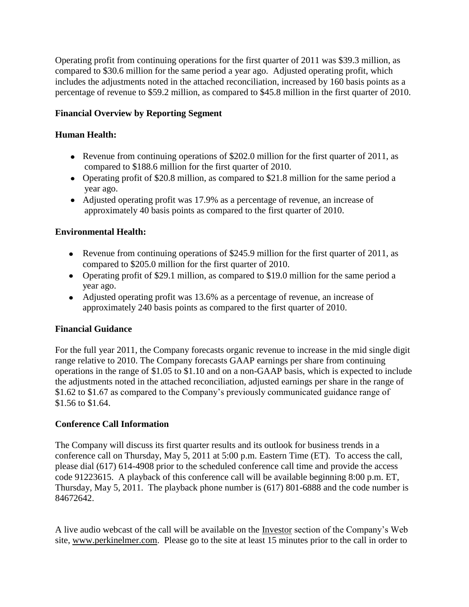Operating profit from continuing operations for the first quarter of 2011 was \$39.3 million, as compared to \$30.6 million for the same period a year ago. Adjusted operating profit, which includes the adjustments noted in the attached reconciliation, increased by 160 basis points as a percentage of revenue to \$59.2 million, as compared to \$45.8 million in the first quarter of 2010.

## **Financial Overview by Reporting Segment**

## **Human Health:**

- Revenue from continuing operations of \$202.0 million for the first quarter of 2011, as compared to \$188.6 million for the first quarter of 2010.
- Operating profit of \$20.8 million, as compared to \$21.8 million for the same period a year ago.
- Adjusted operating profit was 17.9% as a percentage of revenue, an increase of approximately 40 basis points as compared to the first quarter of 2010.

## **Environmental Health:**

- Revenue from continuing operations of \$245.9 million for the first quarter of 2011, as compared to \$205.0 million for the first quarter of 2010.
- Operating profit of \$29.1 million, as compared to \$19.0 million for the same period a year ago.
- Adjusted operating profit was 13.6% as a percentage of revenue, an increase of approximately 240 basis points as compared to the first quarter of 2010.

## **Financial Guidance**

For the full year 2011, the Company forecasts organic revenue to increase in the mid single digit range relative to 2010. The Company forecasts GAAP earnings per share from continuing operations in the range of \$1.05 to \$1.10 and on a non-GAAP basis, which is expected to include the adjustments noted in the attached reconciliation, adjusted earnings per share in the range of \$1.62 to \$1.67 as compared to the Company's previously communicated guidance range of \$1.56 to \$1.64.

## **Conference Call Information**

The Company will discuss its first quarter results and its outlook for business trends in a conference call on Thursday, May 5, 2011 at 5:00 p.m. Eastern Time (ET). To access the call, please dial (617) 614-4908 prior to the scheduled conference call time and provide the access code 91223615. A playback of this conference call will be available beginning 8:00 p.m. ET, Thursday, May 5, 2011. The playback phone number is (617) 801-6888 and the code number is 84672642.

A live audio webcast of the call will be available on the Investor section of the Company's Web site, [www.perkinelmer.com.](http://www.perkinelmer.com/) Please go to the site at least 15 minutes prior to the call in order to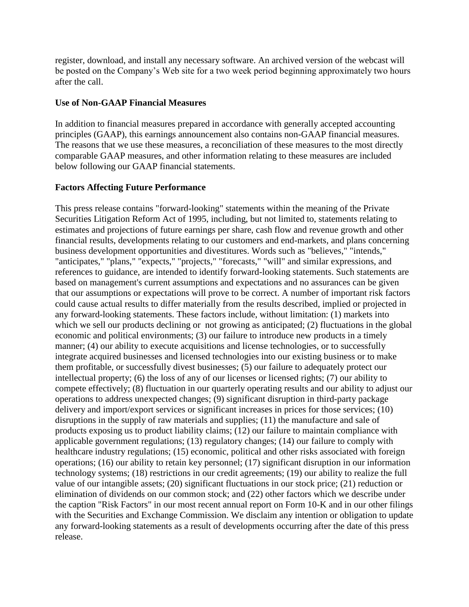register, download, and install any necessary software. An archived version of the webcast will be posted on the Company's Web site for a two week period beginning approximately two hours after the call.

## **Use of Non-GAAP Financial Measures**

In addition to financial measures prepared in accordance with generally accepted accounting principles (GAAP), this earnings announcement also contains non-GAAP financial measures. The reasons that we use these measures, a reconciliation of these measures to the most directly comparable GAAP measures, and other information relating to these measures are included below following our GAAP financial statements.

## **Factors Affecting Future Performance**

This press release contains "forward-looking" statements within the meaning of the Private Securities Litigation Reform Act of 1995, including, but not limited to, statements relating to estimates and projections of future earnings per share, cash flow and revenue growth and other financial results, developments relating to our customers and end-markets, and plans concerning business development opportunities and divestitures. Words such as "believes," "intends," "anticipates," "plans," "expects," "projects," "forecasts," "will" and similar expressions, and references to guidance, are intended to identify forward-looking statements. Such statements are based on management's current assumptions and expectations and no assurances can be given that our assumptions or expectations will prove to be correct. A number of important risk factors could cause actual results to differ materially from the results described, implied or projected in any forward-looking statements. These factors include, without limitation: (1) markets into which we sell our products declining or not growing as anticipated; (2) fluctuations in the global economic and political environments; (3) our failure to introduce new products in a timely manner; (4) our ability to execute acquisitions and license technologies, or to successfully integrate acquired businesses and licensed technologies into our existing business or to make them profitable, or successfully divest businesses; (5) our failure to adequately protect our intellectual property; (6) the loss of any of our licenses or licensed rights; (7) our ability to compete effectively; (8) fluctuation in our quarterly operating results and our ability to adjust our operations to address unexpected changes; (9) significant disruption in third-party package delivery and import/export services or significant increases in prices for those services; (10) disruptions in the supply of raw materials and supplies; (11) the manufacture and sale of products exposing us to product liability claims; (12) our failure to maintain compliance with applicable government regulations; (13) regulatory changes; (14) our failure to comply with healthcare industry regulations; (15) economic, political and other risks associated with foreign operations; (16) our ability to retain key personnel; (17) significant disruption in our information technology systems; (18) restrictions in our credit agreements; (19) our ability to realize the full value of our intangible assets; (20) significant fluctuations in our stock price; (21) reduction or elimination of dividends on our common stock; and (22) other factors which we describe under the caption "Risk Factors" in our most recent annual report on Form 10-K and in our other filings with the Securities and Exchange Commission. We disclaim any intention or obligation to update any forward-looking statements as a result of developments occurring after the date of this press release.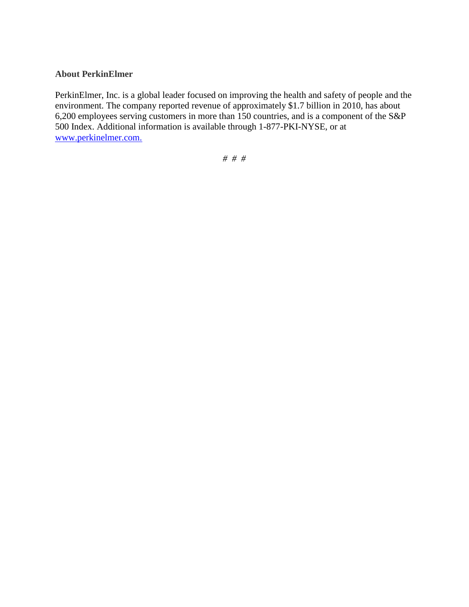### **About PerkinElmer**

PerkinElmer, Inc. is a global leader focused on improving the health and safety of people and the environment. The company reported revenue of approximately \$1.7 billion in 2010, has about 6,200 employees serving customers in more than 150 countries, and is a component of the S&P 500 Index. Additional information is available through 1-877-PKI-NYSE, or at [www.perkinelmer.com.](http://www.perkinelmer.com/)

*# # #*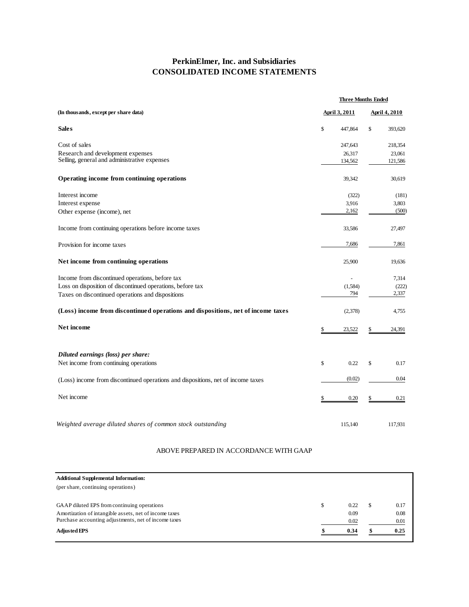## **CONSOLIDATED INCOME STATEMENTS PerkinElmer, Inc. and Subsidiaries**

|                                                                                   | <b>Three Months Ended</b> |                      |    |                      |
|-----------------------------------------------------------------------------------|---------------------------|----------------------|----|----------------------|
| (In thousands, except per share data)                                             |                           | <b>April 3, 2011</b> |    | <u>April 4, 2010</u> |
| <b>Sales</b>                                                                      | \$                        | 447,864              | \$ | 393,620              |
| Cost of sales                                                                     |                           | 247,643              |    | 218,354              |
| Research and development expenses<br>Selling, general and administrative expenses |                           | 26,317<br>134,562    |    | 23,061<br>121,586    |
| Operating income from continuing operations                                       |                           | 39,342               |    | 30,619               |
| Interest income                                                                   |                           | (322)                |    | (181)                |
| Interest expense                                                                  |                           | 3,916                |    | 3,803                |
| Other expense (income), net                                                       |                           | 2,162                |    | (500)                |
| Income from continuing operations before income taxes                             |                           | 33,586               |    | 27,497               |
| Provision for income taxes                                                        |                           | 7,686                |    | 7,861                |
| Net income from continuing operations                                             |                           | 25,900               |    | 19,636               |
| Income from discontinued operations, before tax                                   |                           |                      |    | 7,314                |
| Loss on disposition of discontinued operations, before tax                        |                           | (1,584)              |    | (222)                |
| Taxes on discontinued operations and dispositions                                 |                           | 794                  |    | 2,337                |
| (Loss) income from discontinued operations and dispositions, net of income taxes  |                           | (2,378)              |    | 4,755                |
| Net income                                                                        | \$                        | 23,522               | \$ | 24,391               |
| Diluted earnings (loss) per share:                                                |                           |                      |    |                      |
| Net income from continuing operations                                             | \$                        | 0.22                 | \$ | 0.17                 |
| (Loss) income from discontinued operations and dispositions, net of income taxes  |                           | (0.02)               |    | 0.04                 |
| Net income                                                                        | \$                        | 0.20                 | \$ | 0.21                 |
| Weighted average diluted shares of common stock outstanding                       |                           | 115,140              |    | 117,931              |

### ABOVE PREPARED IN ACCORDANCE WITH GAAP

| <b>Additional Supplemental Information:</b>            |            |            |
|--------------------------------------------------------|------------|------------|
| (per share, continuing operations)                     |            |            |
|                                                        |            |            |
| GAAP diluted EPS from continuing operations            | \$<br>0.22 | \$<br>0.17 |
| Amortization of intangible assets, net of income taxes | 0.09       | 0.08       |
| Purchase accounting adjustments, net of income taxes   | 0.02       | 0.01       |
| Adjusted EPS                                           | 0.34       | 0.25       |
|                                                        |            |            |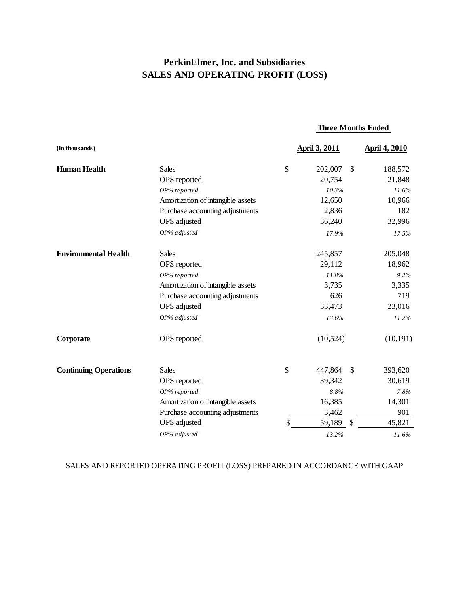# **SALES AND OPERATING PROFIT (LOSS) PerkinElmer, Inc. and Subsidiaries**

 **Three Months Ended** 

| (In thousands)               |                                   | April 3, 2011 |                           | <b>April 4, 2010</b> |
|------------------------------|-----------------------------------|---------------|---------------------------|----------------------|
| <b>Human Health</b>          | <b>Sales</b>                      | \$<br>202,007 | $\mathcal{S}$             | 188,572              |
|                              | OP\$ reported                     | 20,754        |                           | 21,848               |
|                              | OP% reported                      | 10.3%         |                           | 11.6%                |
|                              | Amortization of intangible assets | 12,650        |                           | 10,966               |
|                              | Purchase accounting adjustments   | 2,836         |                           | 182                  |
|                              | OP\$ adjusted                     | 36,240        |                           | 32,996               |
|                              | OP% adjusted                      | 17.9%         |                           | 17.5%                |
| <b>Environmental Health</b>  | <b>Sales</b>                      | 245,857       |                           | 205,048              |
|                              | OP\$ reported                     | 29,112        |                           | 18,962               |
|                              | OP% reported                      | 11.8%         |                           | 9.2%                 |
|                              | Amortization of intangible assets | 3,735         |                           | 3,335                |
|                              | Purchase accounting adjustments   | 626           |                           | 719                  |
|                              | OP\$ adjusted                     | 33,473        |                           | 23,016               |
|                              | OP% adjusted                      | 13.6%         |                           | 11.2%                |
| Corporate                    | OP\$ reported                     | (10, 524)     |                           | (10, 191)            |
| <b>Continuing Operations</b> | <b>Sales</b>                      | \$<br>447,864 | $\mathcal{S}$             | 393,620              |
|                              | OP\$ reported                     | 39,342        |                           | 30,619               |
|                              | OP% reported                      | 8.8%          |                           | 7.8%                 |
|                              | Amortization of intangible assets | 16,385        |                           | 14,301               |
|                              | Purchase accounting adjustments   | 3,462         |                           | 901                  |
|                              | OP\$ adjusted                     | \$<br>59,189  | $\boldsymbol{\mathsf{S}}$ | 45,821               |
|                              | OP% adjusted                      | 13.2%         |                           | 11.6%                |

SALES AND REPORTED OPERATING PROFIT (LOSS) PREPARED IN ACCORDANCE WITH GAAP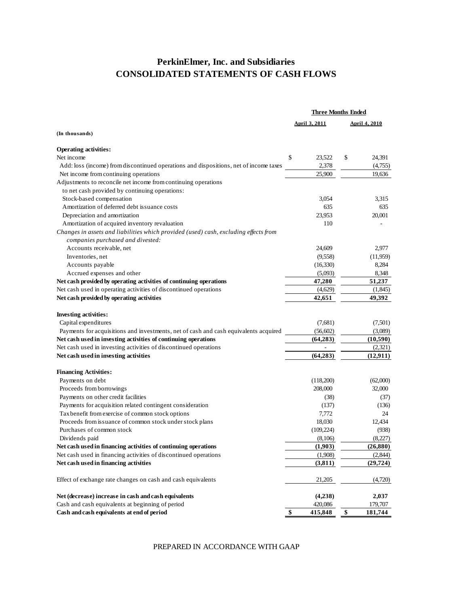# **PerkinElmer, Inc. and Subsidiaries CONSOLIDATED STATEMENTS OF CASH FLOWS**

|                                                                                       | <b>Three Months Ended</b> |                      |  |
|---------------------------------------------------------------------------------------|---------------------------|----------------------|--|
|                                                                                       | April 3, 2011             | <b>April 4, 2010</b> |  |
| (In thousands)                                                                        |                           |                      |  |
| <b>Operating activities:</b>                                                          |                           |                      |  |
| Net income                                                                            | \$<br>23,522              | \$<br>24,391         |  |
| Add: loss (income) from discontinued operations and dispositions, net of income taxes | 2,378                     | (4,755)              |  |
| Net income from continuing operations                                                 | 25,900                    | 19,636               |  |
| Adjustments to reconcile net income from continuing operations                        |                           |                      |  |
| to net cash provided by continuing operations:                                        |                           |                      |  |
| Stock-based compensation                                                              | 3,054                     | 3,315                |  |
| Amortization of deferred debt issuance costs                                          | 635                       | 635                  |  |
| Depreciation and amortization                                                         | 23,953                    | 20,001               |  |
| Amortization of acquired inventory revaluation                                        | 110                       |                      |  |
| Changes in assets and liabilities which provided (used) cash, excluding effects from  |                           |                      |  |
| companies purchased and divested:                                                     |                           |                      |  |
| Accounts receivable, net                                                              | 24,609                    | 2,977                |  |
| Inventories, net                                                                      | (9,558)                   | (11,959)             |  |
| Accounts payable                                                                      | (16,330)                  | 8,284                |  |
| Accrued expenses and other                                                            | (5,093)                   | 8,348                |  |
| Net cash provided by operating activities of continuing operations                    | 47,280                    | 51,237               |  |
| Net cash used in operating activities of discontinued operations                      | (4,629)                   | (1,845)              |  |
| Net cash provided by operating activities                                             | 42,651                    | 49,392               |  |
|                                                                                       |                           |                      |  |
| <b>Investing activities:</b>                                                          |                           |                      |  |
| Capital expenditures                                                                  | (7,681)                   | (7,501)              |  |
| Payments for acquisitions and investments, net of cash and cash equivalents acquired  | (56, 602)                 | (3,089)              |  |
| Net cash used in investing activities of continuing operations                        | (64, 283)                 | (10,590)             |  |
| Net cash used in investing activities of discontinued operations                      | $\overline{\phantom{a}}$  | (2,321)              |  |
| Net cash used in investing activities                                                 | (64, 283)                 | (12,911)             |  |
| <b>Financing Activities:</b>                                                          |                           |                      |  |
| Payments on debt                                                                      | (118,200)                 | (62,000)             |  |
| Proceeds from borrowings                                                              | 208,000                   | 32,000               |  |
| Payments on other credit facilities                                                   | (38)                      | (37)                 |  |
| Payments for acquisition related contingent consideration                             | (137)                     | (136)                |  |
| Tax benefit from exercise of common stock options                                     | 7,772                     | 24                   |  |
| Proceeds from issuance of common stock under stock plans                              | 18,030                    | 12,434               |  |
| Purchases of common stock                                                             | (109, 224)                | (938)                |  |
| Dividends paid                                                                        | (8,106)                   | (8,227)              |  |
| Net cash used in financing activities of continuing operations                        | (1,903)                   | (26, 880)            |  |
| Net cash used in financing activities of discontinued operations                      | (1,908)                   | (2,844)              |  |
| Net cash used in financing activities                                                 | (3,811)                   | (29, 724)            |  |
| Effect of exchange rate changes on cash and cash equivalents                          | 21,205                    | (4,720)              |  |
|                                                                                       |                           |                      |  |
| Net (decrease) increase in cash and cash equivalents                                  | (4,238)                   | 2,037                |  |
| Cash and cash equivalents at beginning of period                                      | 420,086                   | 179,707              |  |
| Cash and cash equivalents at end of period                                            | \$<br>415,848             | \$<br>181,744        |  |

PREPARED IN ACCORDANCE WITH GAAP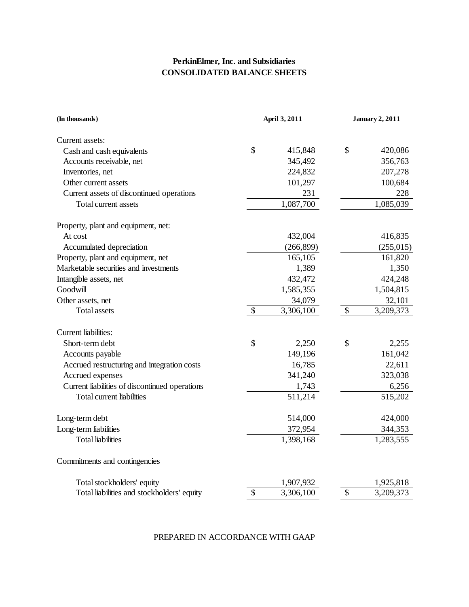## **PerkinElmer, Inc. and Subsidiaries CONSOLIDATED BALANCE SHEETS**

| (In thousands)                                 | April 3, 2011   |            |                 | <b>January 2, 2011</b> |
|------------------------------------------------|-----------------|------------|-----------------|------------------------|
| Current assets:                                |                 |            |                 |                        |
| Cash and cash equivalents                      | $\mathcal{S}$   | 415,848    | \$              | 420,086                |
| Accounts receivable, net                       |                 | 345,492    |                 | 356,763                |
| Inventories, net                               |                 | 224,832    |                 | 207,278                |
| Other current assets                           |                 | 101,297    |                 | 100,684                |
| Current assets of discontinued operations      |                 | 231        |                 | 228                    |
| Total current assets                           |                 | 1,087,700  |                 | 1,085,039              |
| Property, plant and equipment, net:            |                 |            |                 |                        |
| At cost                                        |                 | 432,004    |                 | 416,835                |
| Accumulated depreciation                       |                 | (266, 899) |                 | (255, 015)             |
| Property, plant and equipment, net             |                 | 165,105    |                 | 161,820                |
| Marketable securities and investments          |                 | 1,389      |                 | 1,350                  |
| Intangible assets, net                         |                 | 432,472    |                 | 424,248                |
| Goodwill                                       |                 | 1,585,355  |                 | 1,504,815              |
| Other assets, net                              |                 | 34,079     |                 | 32,101                 |
| <b>Total assets</b>                            | $\mathcal{S}$   | 3,306,100  | \$              | 3,209,373              |
| Current liabilities:                           |                 |            |                 |                        |
| Short-term debt                                | \$              | 2,250      | \$              | 2,255                  |
| Accounts payable                               |                 | 149,196    |                 | 161,042                |
| Accrued restructuring and integration costs    |                 | 16,785     |                 | 22,611                 |
| Accrued expenses                               |                 | 341,240    |                 | 323,038                |
| Current liabilities of discontinued operations |                 | 1,743      |                 | 6,256                  |
| Total current liabilities                      |                 | 511,214    |                 | 515,202                |
| Long-term debt                                 |                 | 514,000    |                 | 424,000                |
| Long-term liabilities                          |                 | 372,954    |                 | 344,353                |
| <b>Total liabilities</b>                       |                 | 1,398,168  |                 | 1,283,555              |
| Commitments and contingencies                  |                 |            |                 |                        |
| Total stockholders' equity                     |                 | 1,907,932  |                 | 1,925,818              |
| Total liabilities and stockholders' equity     | $\overline{\$}$ | 3,306,100  | $\overline{\$}$ | 3,209,373              |

PREPARED IN ACCORDANCE WITH GAAP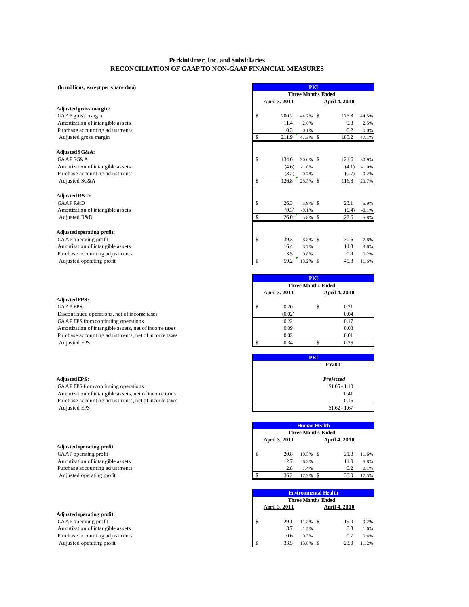### **PerkinElmer, Inc. and Subsidiaries RECONCILIATION OF GAAP TO NON-GAAP FINANCIAL MEASURES**

| (In millions, except per share data) | <b>PKI</b>                |             |                      |         |  |  |
|--------------------------------------|---------------------------|-------------|----------------------|---------|--|--|
|                                      | <b>Three Months Ended</b> |             |                      |         |  |  |
|                                      | April 3, 2011             |             | <b>April 4, 2010</b> |         |  |  |
| Adjusted gross margin:               |                           |             |                      |         |  |  |
| GAAP gross margin                    | \$<br>200.2               | 44.7% \$    | 175.3                | 44.5%   |  |  |
| Amortization of intangible assets    | 11.4                      | 2.6%        | 9.8                  | 2.5%    |  |  |
| Purchase accounting adjustments      | 0.3                       | 0.1%        | 0.2                  | 0.0%    |  |  |
| Adjusted gross margin                | \$<br>211.9               | $47.3\%$ \$ | 185.2                | 47.1%   |  |  |
| Adjusted SG&A:                       |                           |             |                      |         |  |  |
| <b>GAAP SG&amp;A</b>                 | \$<br>134.6               | 30.0% \$    | 121.6                | 30.9%   |  |  |
| Amortization of intangible assets    | (4.6)                     | $-1.0%$     | (4.1)                | $-1.0%$ |  |  |
| Purchase accounting adjustments      | (3.2)                     | $-0.7%$     | (0.7)                | $-0.2%$ |  |  |
| Adjusted SG&A                        | \$<br>126.8               | 28.3% \$    | 116.8                | 29.7%   |  |  |
| Adjusted R&D:                        |                           |             |                      |         |  |  |
| <b>GAAPR&amp;D</b>                   | \$<br>26.3                |             | 23.1                 | 5.9%    |  |  |
| Amortization of intangible assets    | (0.3)                     | $-0.1%$     | (0.4)                | $-0.1%$ |  |  |
| Adjusted R&D                         | \$<br>26.0                | 5.8% \$     | 22.6                 | 5.8%    |  |  |
| Adjusted operating profit:           |                           |             |                      |         |  |  |
| GAAP operating profit                | \$<br>39.3                | 8.8% \$     | 30.6                 | 7.8%    |  |  |
| Amortization of intangible assets    | 16.4                      | 3.7%        | 14.3                 | 3.6%    |  |  |
| Purchase accounting adjustments      | 3.5                       | 0.8%        | 0.9                  | 0.2%    |  |  |
| Adjusted operating profit            | \$<br>59.2                | 13.2% \$    | 45.8                 | 11.6%   |  |  |
|                                      |                           |             |                      |         |  |  |
|                                      |                           | <b>PKI</b>  |                      |         |  |  |

|                                                        | <b>Three Months Ended</b>             |    |      |
|--------------------------------------------------------|---------------------------------------|----|------|
|                                                        | April 3, 2011<br><b>April 4, 2010</b> |    |      |
| Adjusted EPS :                                         |                                       |    |      |
| <b>GAAP EPS</b>                                        | \$<br>0.20                            | \$ | 0.21 |
| Discontinued operations, net of income taxes           | (0.02)                                |    | 0.04 |
| GAAP EPS from continuing operations                    | 0.22                                  |    | 0.17 |
| Amortization of intangible assets, net of income taxes | 0.09                                  |    | 0.08 |
| Purchase accounting adjustments, net of income taxes   | 0.02                                  |    | 0.01 |
| Adjusted EPS                                           | 0.34                                  |    | 0.25 |
|                                                        |                                       |    |      |

| Adiusted EPS :                                         | Projected      |
|--------------------------------------------------------|----------------|
| GAAP EPS from continuing operations                    | $$1.05 - 1.10$ |
| Amortization of intangible assets, net of income taxes | 0.41           |
| Purchase accounting adjustments, net of income taxes   | 0.16           |
| Adiusted EPS                                           | $$162 - 167$   |

| Adjusted operating profit: |  |  |
|----------------------------|--|--|
|----------------------------|--|--|

| GAAP operating profit             |
|-----------------------------------|
| Amortization of intangible assets |
| Purchase accounting adjustments   |
| Adjusted operating profit         |

| GAAP operating profit             |
|-----------------------------------|
| Amortization of intangible assets |
| Purchase accounting adjustments   |
| Adjusted operating profit         |

|                                                        | <b>PKI</b>     |
|--------------------------------------------------------|----------------|
|                                                        | <b>FY2011</b>  |
| Adjusted EPS :                                         | Projected      |
| GAAP EPS from continuing operations                    | $$1.05 - 1.10$ |
| Amortization of intangible assets, net of income taxes | 0.41           |
| Purchase accounting adjustments, net of income taxes   | 0.16           |
| Adjusted EPS                                           | $$1.62 - 1.67$ |

|                                   | <b>Human Health</b>       |               |             |  |               |       |
|-----------------------------------|---------------------------|---------------|-------------|--|---------------|-------|
|                                   | <b>Three Months Ended</b> |               |             |  |               |       |
|                                   |                           | April 3, 2011 |             |  | April 4, 2010 |       |
| Adjusted operating profit:        |                           |               |             |  |               |       |
| GAAP operating profit             |                           | 20.8          | $10.3\%$ \$ |  | 21.8          | 11.6% |
| Amortization of intangible assets |                           | 12.7          | 6.3%        |  | 11.0          | 5.8%  |
| Purchase accounting adjustments   |                           | 2.8           | 1.4%        |  | 0.2           | 0.1%  |
| Adjusted operating profit         |                           | 36.2          | 17.9% S     |  | 33.0          | 17.5% |

|                                   | <b>Environmental Health</b> |                      |             |  |                      |        |
|-----------------------------------|-----------------------------|----------------------|-------------|--|----------------------|--------|
|                                   | <b>Three Months Ended</b>   |                      |             |  |                      |        |
|                                   |                             | <b>April 3, 2011</b> |             |  | <b>April 4, 2010</b> |        |
| Adjusted operating profit:        |                             |                      |             |  |                      |        |
| GAAP operating profit             |                             | 29.1                 | $11.8\%$ \$ |  | 19.0                 | 9.2%   |
| Amortization of intangible assets |                             | 3.7                  | 1.5%        |  | 3.3                  | $.6\%$ |
| Purchase accounting adjustments   |                             | 0.6                  | 0.3%        |  | 0.7                  | 0.4%   |
| Adjusted operating profit         |                             | 33.5                 | 13.6% \$    |  | 23.0                 | 11.2%  |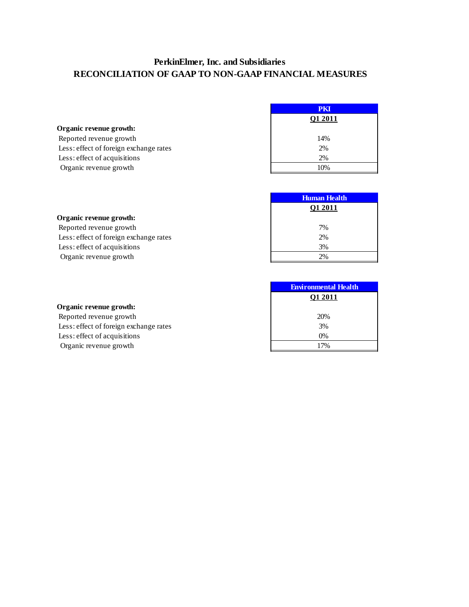## **PerkinElmer, Inc. and Subsidiaries RECONCILIATION OF GAAP TO NON-GAAP FINANCIAL MEASURES**

|                                        | <b>PKI</b> |
|----------------------------------------|------------|
|                                        | 01 2011    |
| Organic revenue growth:                |            |
| Reported revenue growth                | 14%        |
| Less: effect of foreign exchange rates | 2%         |
| Less: effect of acquisitions           | 2%         |
| Organic revenue growth                 | 10%        |

|                                        | <b>Human Health</b> |
|----------------------------------------|---------------------|
|                                        | <u>01 2011</u>      |
| Organic revenue growth:                |                     |
| Reported revenue growth                | 7%                  |
| Less: effect of foreign exchange rates | 2%                  |
| Less: effect of acquisitions           | 3%                  |
| Organic revenue growth                 | 2%                  |

|                                        | <b>Environmental Health</b> |  |  |
|----------------------------------------|-----------------------------|--|--|
|                                        | 01 2011                     |  |  |
| Organic revenue growth:                |                             |  |  |
| Reported revenue growth                | 20%                         |  |  |
| Less: effect of foreign exchange rates | 3%                          |  |  |
| Less: effect of acquisitions           | 0%                          |  |  |
| Organic revenue growth                 | 17%                         |  |  |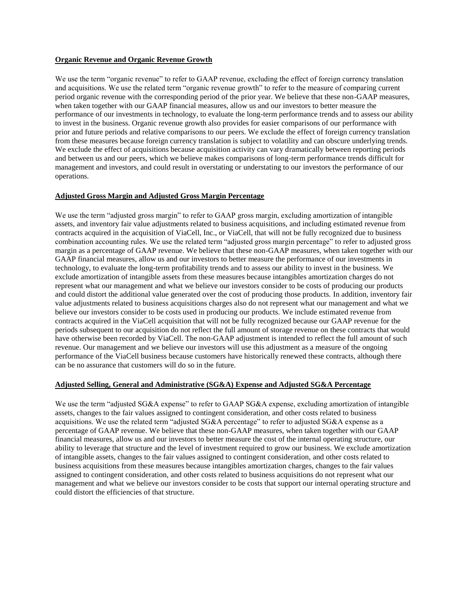### **Organic Revenue and Organic Revenue Growth**

We use the term "organic revenue" to refer to GAAP revenue, excluding the effect of foreign currency translation and acquisitions. We use the related term "organic revenue growth" to refer to the measure of comparing current period organic revenue with the corresponding period of the prior year. We believe that these non-GAAP measures, when taken together with our GAAP financial measures, allow us and our investors to better measure the performance of our investments in technology, to evaluate the long-term performance trends and to assess our ability to invest in the business. Organic revenue growth also provides for easier comparisons of our performance with prior and future periods and relative comparisons to our peers. We exclude the effect of foreign currency translation from these measures because foreign currency translation is subject to volatility and can obscure underlying trends. We exclude the effect of acquisitions because acquisition activity can vary dramatically between reporting periods and between us and our peers, which we believe makes comparisons of long-term performance trends difficult for management and investors, and could result in overstating or understating to our investors the performance of our operations.

### **Adjusted Gross Margin and Adjusted Gross Margin Percentage**

We use the term "adjusted gross margin" to refer to GAAP gross margin, excluding amortization of intangible assets, and inventory fair value adjustments related to business acquisitions, and including estimated revenue from contracts acquired in the acquisition of ViaCell, Inc., or ViaCell, that will not be fully recognized due to business combination accounting rules. We use the related term "adjusted gross margin percentage" to refer to adjusted gross margin as a percentage of GAAP revenue. We believe that these non-GAAP measures, when taken together with our GAAP financial measures, allow us and our investors to better measure the performance of our investments in technology, to evaluate the long-term profitability trends and to assess our ability to invest in the business. We exclude amortization of intangible assets from these measures because intangibles amortization charges do not represent what our management and what we believe our investors consider to be costs of producing our products and could distort the additional value generated over the cost of producing those products. In addition, inventory fair value adjustments related to business acquisitions charges also do not represent what our management and what we believe our investors consider to be costs used in producing our products. We include estimated revenue from contracts acquired in the ViaCell acquisition that will not be fully recognized because our GAAP revenue for the periods subsequent to our acquisition do not reflect the full amount of storage revenue on these contracts that would have otherwise been recorded by ViaCell. The non-GAAP adjustment is intended to reflect the full amount of such revenue. Our management and we believe our investors will use this adjustment as a measure of the ongoing performance of the ViaCell business because customers have historically renewed these contracts, although there can be no assurance that customers will do so in the future.

#### **Adjusted Selling, General and Administrative (SG&A) Expense and Adjusted SG&A Percentage**

We use the term "adjusted SG&A expense" to refer to GAAP SG&A expense, excluding amortization of intangible assets, changes to the fair values assigned to contingent consideration, and other costs related to business acquisitions. We use the related term "adjusted SG&A percentage" to refer to adjusted SG&A expense as a percentage of GAAP revenue. We believe that these non-GAAP measures, when taken together with our GAAP financial measures, allow us and our investors to better measure the cost of the internal operating structure, our ability to leverage that structure and the level of investment required to grow our business. We exclude amortization of intangible assets, changes to the fair values assigned to contingent consideration, and other costs related to business acquisitions from these measures because intangibles amortization charges, changes to the fair values assigned to contingent consideration, and other costs related to business acquisitions do not represent what our management and what we believe our investors consider to be costs that support our internal operating structure and could distort the efficiencies of that structure.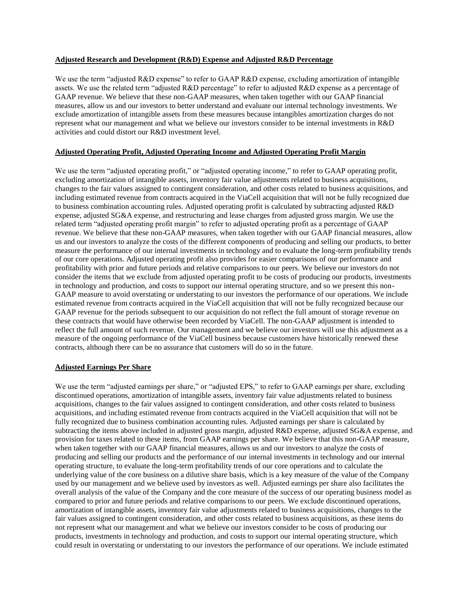### **Adjusted Research and Development (R&D) Expense and Adjusted R&D Percentage**

We use the term "adjusted R&D expense" to refer to GAAP R&D expense, excluding amortization of intangible assets. We use the related term "adjusted R&D percentage" to refer to adjusted R&D expense as a percentage of GAAP revenue. We believe that these non-GAAP measures, when taken together with our GAAP financial measures, allow us and our investors to better understand and evaluate our internal technology investments. We exclude amortization of intangible assets from these measures because intangibles amortization charges do not represent what our management and what we believe our investors consider to be internal investments in R&D activities and could distort our R&D investment level.

### **Adjusted Operating Profit, Adjusted Operating Income and Adjusted Operating Profit Margin**

We use the term "adjusted operating profit," or "adjusted operating income," to refer to GAAP operating profit, excluding amortization of intangible assets, inventory fair value adjustments related to business acquisitions, changes to the fair values assigned to contingent consideration, and other costs related to business acquisitions, and including estimated revenue from contracts acquired in the ViaCell acquisition that will not be fully recognized due to business combination accounting rules. Adjusted operating profit is calculated by subtracting adjusted R&D expense, adjusted SG&A expense, and restructuring and lease charges from adjusted gross margin. We use the related term "adjusted operating profit margin" to refer to adjusted operating profit as a percentage of GAAP revenue. We believe that these non-GAAP measures, when taken together with our GAAP financial measures, allow us and our investors to analyze the costs of the different components of producing and selling our products, to better measure the performance of our internal investments in technology and to evaluate the long-term profitability trends of our core operations. Adjusted operating profit also provides for easier comparisons of our performance and profitability with prior and future periods and relative comparisons to our peers. We believe our investors do not consider the items that we exclude from adjusted operating profit to be costs of producing our products, investments in technology and production, and costs to support our internal operating structure, and so we present this non-GAAP measure to avoid overstating or understating to our investors the performance of our operations. We include estimated revenue from contracts acquired in the ViaCell acquisition that will not be fully recognized because our GAAP revenue for the periods subsequent to our acquisition do not reflect the full amount of storage revenue on these contracts that would have otherwise been recorded by ViaCell. The non-GAAP adjustment is intended to reflect the full amount of such revenue. Our management and we believe our investors will use this adjustment as a measure of the ongoing performance of the ViaCell business because customers have historically renewed these contracts, although there can be no assurance that customers will do so in the future.

### **Adjusted Earnings Per Share**

We use the term "adjusted earnings per share," or "adjusted EPS," to refer to GAAP earnings per share, excluding discontinued operations, amortization of intangible assets, inventory fair value adjustments related to business acquisitions, changes to the fair values assigned to contingent consideration, and other costs related to business acquisitions, and including estimated revenue from contracts acquired in the ViaCell acquisition that will not be fully recognized due to business combination accounting rules. Adjusted earnings per share is calculated by subtracting the items above included in adjusted gross margin, adjusted R&D expense, adjusted SG&A expense, and provision for taxes related to these items, from GAAP earnings per share. We believe that this non-GAAP measure, when taken together with our GAAP financial measures, allows us and our investors to analyze the costs of producing and selling our products and the performance of our internal investments in technology and our internal operating structure, to evaluate the long-term profitability trends of our core operations and to calculate the underlying value of the core business on a dilutive share basis, which is a key measure of the value of the Company used by our management and we believe used by investors as well. Adjusted earnings per share also facilitates the overall analysis of the value of the Company and the core measure of the success of our operating business model as compared to prior and future periods and relative comparisons to our peers. We exclude discontinued operations, amortization of intangible assets, inventory fair value adjustments related to business acquisitions, changes to the fair values assigned to contingent consideration, and other costs related to business acquisitions, as these items do not represent what our management and what we believe our investors consider to be costs of producing our products, investments in technology and production, and costs to support our internal operating structure, which could result in overstating or understating to our investors the performance of our operations. We include estimated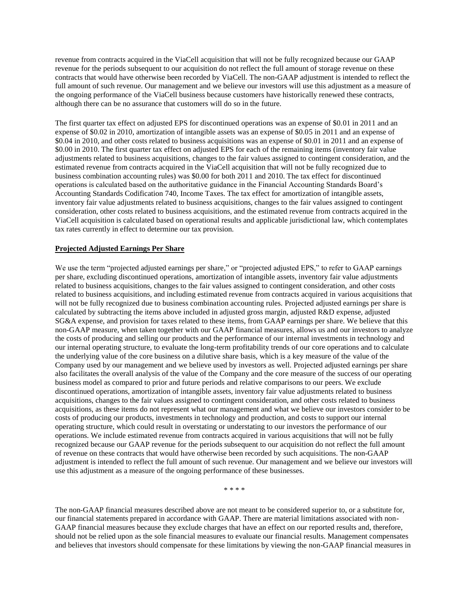revenue from contracts acquired in the ViaCell acquisition that will not be fully recognized because our GAAP revenue for the periods subsequent to our acquisition do not reflect the full amount of storage revenue on these contracts that would have otherwise been recorded by ViaCell. The non-GAAP adjustment is intended to reflect the full amount of such revenue. Our management and we believe our investors will use this adjustment as a measure of the ongoing performance of the ViaCell business because customers have historically renewed these contracts, although there can be no assurance that customers will do so in the future.

The first quarter tax effect on adjusted EPS for discontinued operations was an expense of \$0.01 in 2011 and an expense of \$0.02 in 2010, amortization of intangible assets was an expense of \$0.05 in 2011 and an expense of \$0.04 in 2010, and other costs related to business acquisitions was an expense of \$0.01 in 2011 and an expense of \$0.00 in 2010. The first quarter tax effect on adjusted EPS for each of the remaining items (inventory fair value adjustments related to business acquisitions, changes to the fair values assigned to contingent consideration, and the estimated revenue from contracts acquired in the ViaCell acquisition that will not be fully recognized due to business combination accounting rules) was \$0.00 for both 2011 and 2010. The tax effect for discontinued operations is calculated based on the authoritative guidance in the Financial Accounting Standards Board's Accounting Standards Codification 740, Income Taxes. The tax effect for amortization of intangible assets, inventory fair value adjustments related to business acquisitions, changes to the fair values assigned to contingent consideration, other costs related to business acquisitions, and the estimated revenue from contracts acquired in the ViaCell acquisition is calculated based on operational results and applicable jurisdictional law, which contemplates tax rates currently in effect to determine our tax provision.

### **Projected Adjusted Earnings Per Share**

We use the term "projected adjusted earnings per share," or "projected adjusted EPS," to refer to GAAP earnings per share, excluding discontinued operations, amortization of intangible assets, inventory fair value adjustments related to business acquisitions, changes to the fair values assigned to contingent consideration, and other costs related to business acquisitions, and including estimated revenue from contracts acquired in various acquisitions that will not be fully recognized due to business combination accounting rules. Projected adjusted earnings per share is calculated by subtracting the items above included in adjusted gross margin, adjusted R&D expense, adjusted SG&A expense, and provision for taxes related to these items, from GAAP earnings per share. We believe that this non-GAAP measure, when taken together with our GAAP financial measures, allows us and our investors to analyze the costs of producing and selling our products and the performance of our internal investments in technology and our internal operating structure, to evaluate the long-term profitability trends of our core operations and to calculate the underlying value of the core business on a dilutive share basis, which is a key measure of the value of the Company used by our management and we believe used by investors as well. Projected adjusted earnings per share also facilitates the overall analysis of the value of the Company and the core measure of the success of our operating business model as compared to prior and future periods and relative comparisons to our peers. We exclude discontinued operations, amortization of intangible assets, inventory fair value adjustments related to business acquisitions, changes to the fair values assigned to contingent consideration, and other costs related to business acquisitions, as these items do not represent what our management and what we believe our investors consider to be costs of producing our products, investments in technology and production, and costs to support our internal operating structure, which could result in overstating or understating to our investors the performance of our operations. We include estimated revenue from contracts acquired in various acquisitions that will not be fully recognized because our GAAP revenue for the periods subsequent to our acquisition do not reflect the full amount of revenue on these contracts that would have otherwise been recorded by such acquisitions. The non-GAAP adjustment is intended to reflect the full amount of such revenue. Our management and we believe our investors will use this adjustment as a measure of the ongoing performance of these businesses.

\* \* \* \*

The non-GAAP financial measures described above are not meant to be considered superior to, or a substitute for, our financial statements prepared in accordance with GAAP. There are material limitations associated with non-GAAP financial measures because they exclude charges that have an effect on our reported results and, therefore, should not be relied upon as the sole financial measures to evaluate our financial results. Management compensates and believes that investors should compensate for these limitations by viewing the non-GAAP financial measures in